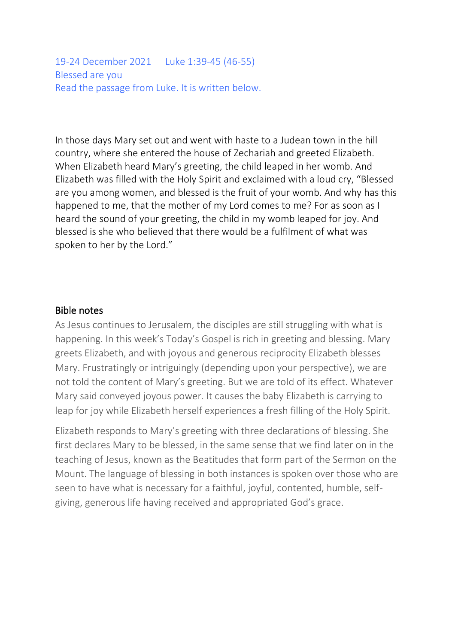19-24 December 2021 Luke 1:39-45 (46-55) Blessed are you Read the passage from Luke. It is written below.

In those days Mary set out and went with haste to a Judean town in the hill country, where she entered the house of Zechariah and greeted Elizabeth. When Elizabeth heard Mary's greeting, the child leaped in her womb. And Elizabeth was filled with the Holy Spirit and exclaimed with a loud cry, "Blessed are you among women, and blessed is the fruit of your womb. And why has this happened to me, that the mother of my Lord comes to me? For as soon as I heard the sound of your greeting, the child in my womb leaped for joy. And blessed is she who believed that there would be a fulfilment of what was spoken to her by the Lord."

#### Bible notes

As Jesus continues to Jerusalem, the disciples are still struggling with what is happening. In this week's Today's Gospel is rich in greeting and blessing. Mary greets Elizabeth, and with joyous and generous reciprocity Elizabeth blesses Mary. Frustratingly or intriguingly (depending upon your perspective), we are not told the content of Mary's greeting. But we are told of its effect. Whatever Mary said conveyed joyous power. It causes the baby Elizabeth is carrying to leap for joy while Elizabeth herself experiences a fresh filling of the Holy Spirit.

Elizabeth responds to Mary's greeting with three declarations of blessing. She first declares Mary to be blessed, in the same sense that we find later on in the teaching of Jesus, known as the Beatitudes that form part of the Sermon on the Mount. The language of blessing in both instances is spoken over those who are seen to have what is necessary for a faithful, joyful, contented, humble, selfgiving, generous life having received and appropriated God's grace.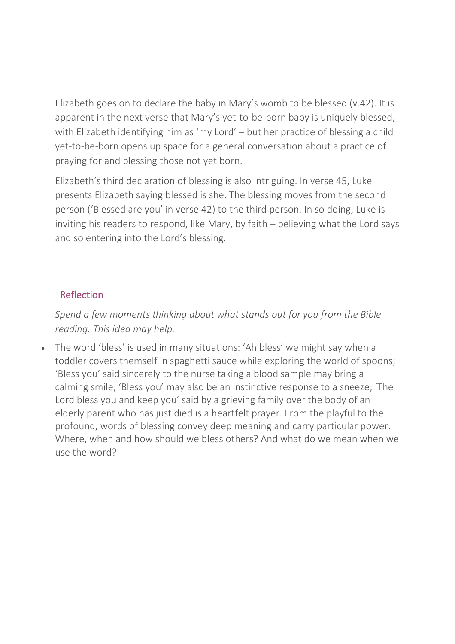Elizabeth goes on to declare the baby in Mary's womb to be blessed (v.42). It is apparent in the next verse that Mary's yet-to-be-born baby is uniquely blessed, with Elizabeth identifying him as 'my Lord' – but her practice of blessing a child yet-to-be-born opens up space for a general conversation about a practice of praying for and blessing those not yet born.

Elizabeth's third declaration of blessing is also intriguing. In verse 45, Luke presents Elizabeth saying blessed is she. The blessing moves from the second person ('Blessed are you' in verse 42) to the third person. In so doing, Luke is inviting his readers to respond, like Mary, by faith – believing what the Lord says and so entering into the Lord's blessing.

## Reflection

*Spend a few moments thinking about what stands out for you from the Bible reading. This idea may help.*

• The word 'bless' is used in many situations: 'Ah bless' we might say when a toddler covers themself in spaghetti sauce while exploring the world of spoons; 'Bless you' said sincerely to the nurse taking a blood sample may bring a calming smile; 'Bless you' may also be an instinctive response to a sneeze; 'The Lord bless you and keep you' said by a grieving family over the body of an elderly parent who has just died is a heartfelt prayer. From the playful to the profound, words of blessing convey deep meaning and carry particular power. Where, when and how should we bless others? And what do we mean when we use the word?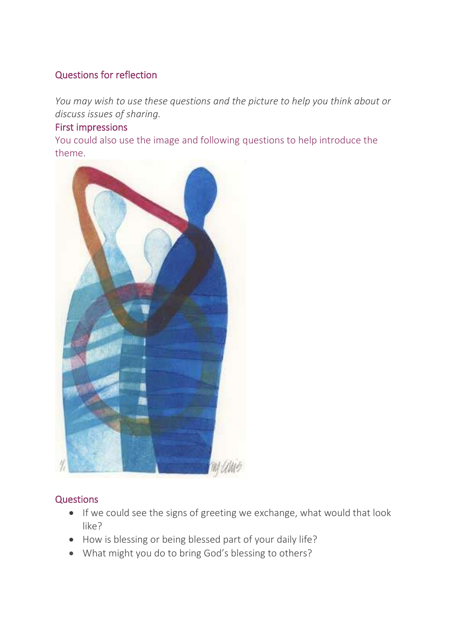## Questions for reflection

*You may wish to use these questions and the picture to help you think about or discuss issues of sharing.*

#### First impressions

You could also use the image and following questions to help introduce the theme.



#### **Questions**

- If we could see the signs of greeting we exchange, what would that look like?
- How is blessing or being blessed part of your daily life?
- What might you do to bring God's blessing to others?